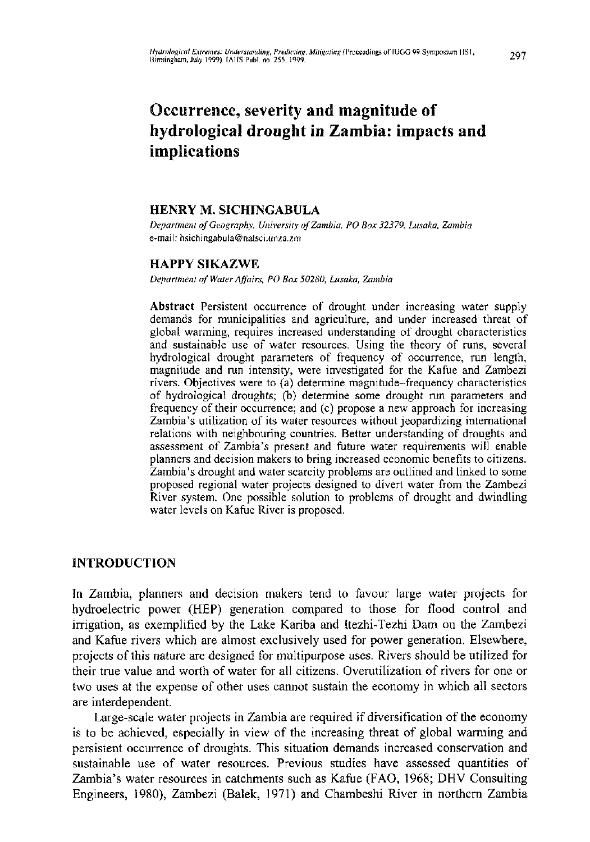# Occurrence, severity and magnitude of hydrological drought in Zambia: impacts and **implications**

# HENRY M. SICHINGABULA

*Department of Geography, University of Zambia, PO Box 32379, Lusaka, Zambia*  e-mail: [hsichingabula@natsci.unza.zrn](mailto:hsichingabula@natsci.unza.zrn)

# HAPPY SIKAZWE

*Department of Water Affairs, PO Box 50280, Lusaka, Zambia* 

Abstract Persistent occurrence of drought under increasing water supply demands for municipalities and agriculture, and under increased threat of global warming, requires increased understanding of drought characteristics and sustainable use of water resources. Using the theory of runs, several hydroiogical drought parameters of frequency of occurrence, run length, magnitude and run intensity, were investigated for the Kafue and Zambezi rivers. Objectives were to (a) determine magnitude-frequency characteristics of hydroiogical droughts; (b) determine some drought run parameters and frequency of their occurrence; and (c) propose a new approach for increasing Zambia's utilization of its water resources without jeopardizing international relations with neighbouring countries. Better understanding of droughts and assessment of Zambia's present and future water requirements will enable planners and decision makers to bring increased economic benefits to citizens. Zambia's drought and water scarcity problems are outlined and linked to some proposed regional water projects designed to divert water from the Zambezi River system. One possible solution to problems of drought and dwindling water levels on Kafue River is proposed.

# INTRODUCTION

In Zambia, planners and decision makers tend to favour large water projects for hydroelectric power (HEP) generation compared to those for flood control and irrigation, as exemplified by the Lake Kariba and Itezhi-Tezhi Dam on the Zambezi and Kafue rivers which are almost exclusively used for power generation. Elsewhere, projects of this nature are designed for multipurpose uses. Rivers should be utilized for their true value and worth of water for all citizens. Overutilization of rivers for one or two uses at the expense of other uses cannot sustain the economy in which all sectors are interdependent.

Large-scale water projects in Zambia are required if diversification of the economy is to be achieved, especially in view of the increasing threat of global warming and persistent occurrence of droughts. This situation demands increased conservation and sustainable use of water resources. Previous studies have assessed quantities of Zambia's water resources in catchments such as Kafue (FAO, 1968; DHV Consulting Engineers, 1980), Zambezi (Balek, 1971) and Chambeshi River in northern Zambia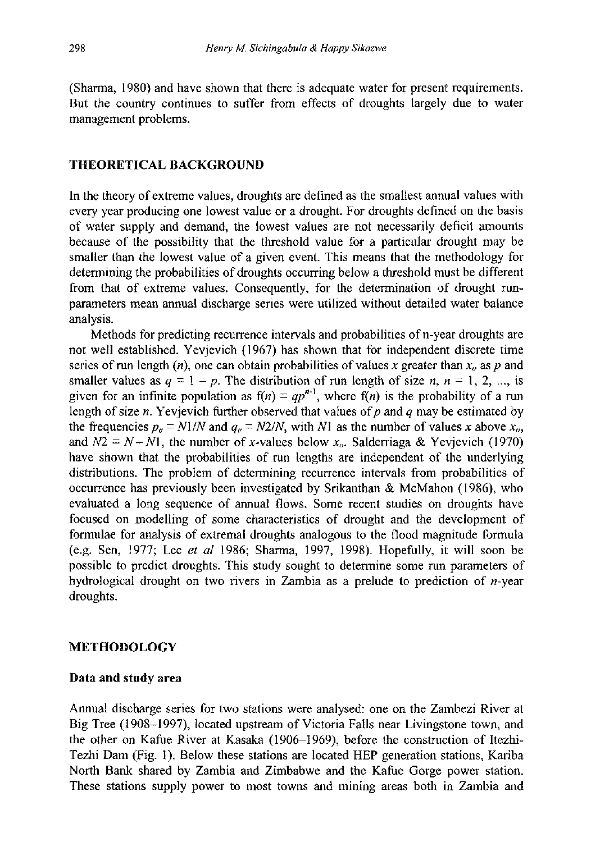(Sharma, 1980) and have shown that there is adequate water for present requirements. But the country continues to suffer from effects of droughts largely due to water management problems.

## THEORETICAL BACKGROUND

In the theory of extreme values, droughts are defined as the smallest annual values with every year producing one lowest value or a drought. For droughts defined on the basis of water supply and demand, the lowest values are not necessarily deficit amounts because of the possibility that the threshold value for a particular drought may be smaller than the lowest value of a given event. This means that the methodology for determining the probabilities of droughts occurring below a threshold must be different from that of extreme values. Consequently, for the determination of drought runparameters mean annual discharge series were utilized without detailed water balance analysis.

Methods for predicting recurrence intervals and probabilities of n-year droughts are not well established. Yevjevich (1967) has shown that for independent discrete time series of run length  $(n)$ , one can obtain probabilities of values x greater than  $x<sub>o</sub>$  as p and smaller values as  $q = 1 - p$ . The distribution of run length of size  $n, n = 1, 2, ...,$  is given for an infinite population as  $f(n) = qp^{n-1}$ , where  $f(n)$  is the probability of a run length of size  $n$ . Yevjevich further observed that values of  $p$  and  $q$  may be estimated by the frequencies  $p_e = N1/N$  and  $q_e = N2/N$ , with N1 as the number of values x above  $x_o$ , and  $N2 = N - N1$ , the number of x-values below  $x<sub>0</sub>$ . Salderriaga & Yevjevich (1970) have shown that the probabilities of run lengths are independent of the underlying distributions. The problem of determining recurrence intervals from probabilities of occurrence has previously been investigated by Srikanthan & McMahon (1986), who evaluated a long sequence of annual flows. Some recent studies on droughts have focused on modelling of some characteristics of drought and the development of formulae for analysis of extremal droughts analogous to the flood magnitude formula (e.g. Sen, 1977; Lee *et al* 1986; Sharma, 1997, 1998). Hopefully, it will soon be possible to predict droughts. This study sought to determine some run parameters of hydrological drought on two rivers in Zambia as a prelude to prediction of  $n$ -year droughts.

#### METHODOLOGY

#### Data and study area

Annual discharge series for two stations were analysed: one on the Zambezi River at Big Tree (1908-1997), located upstream of Victoria Falls near Livingstone town, and the other on Kafue River at Kasaka (1906-1969), before the construction of Itezhi-Tezhi Dam (Fig. 1). Below these stations are located HEP generation stations, Kariba North Bank shared by Zambia and Zimbabwe and the Kafue Gorge power station. These stations supply power to most towns and mining areas both in Zambia and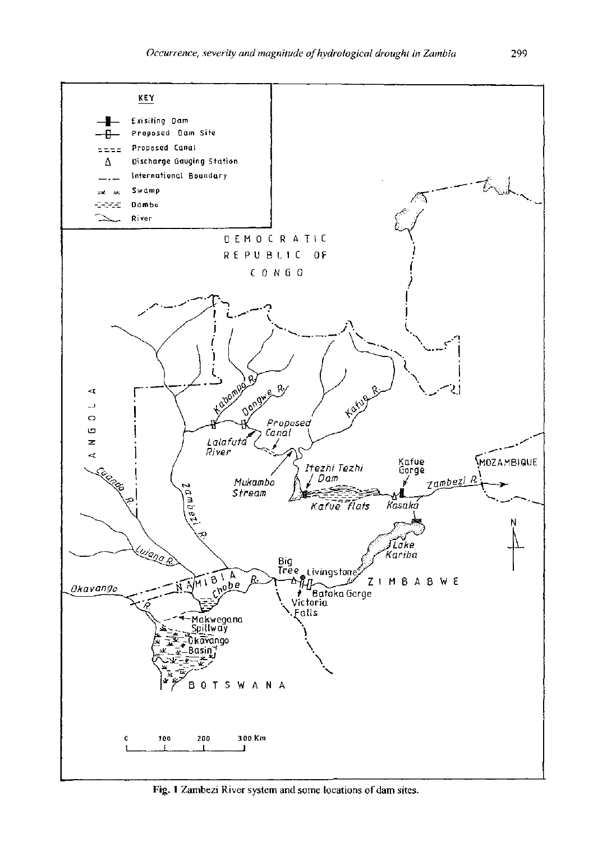

Fig. 1 Zambezi River system and some locations of dam sites.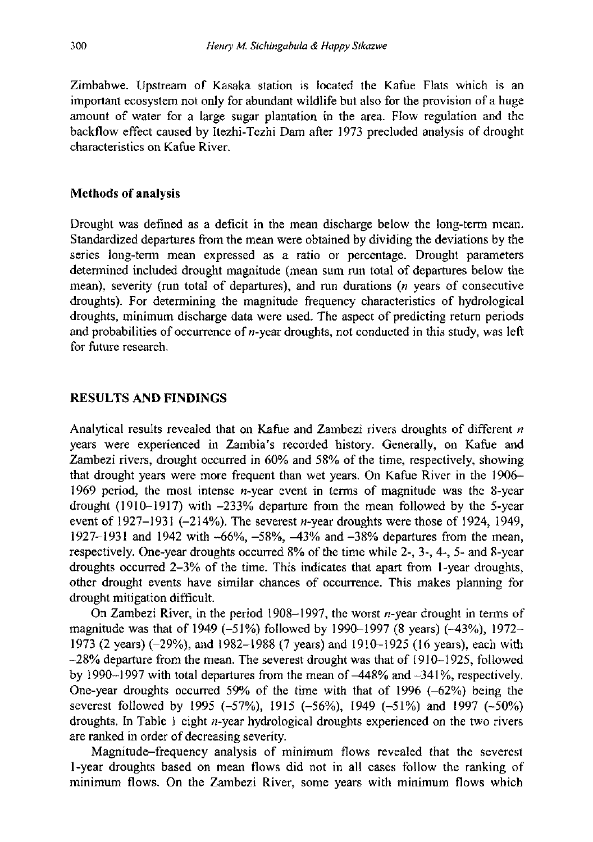Zimbabwe. Upstream of Kasaka station is located the Kafue Flats which is an important ecosystem not only for abundant wildlife but also for the provision of a huge amount of water for a large sugar plantation in the area. Flow regulation and the backflow effect caused by Itezhi-Tezhi Dam after 1973 precluded analysis of drought characteristics on Kafue River.

# Methods of analysis

Drought was defined as a deficit in the mean discharge below the long-term mean. Standardized departures from the mean were obtained by dividing the deviations by the series long-term mean expressed as a ratio or percentage. Drought parameters determined included drought magnitude (mean sum run total of departures below the mean), severity (run total of departures), and run durations *(n* years of consecutive droughts). For determining the magnitude frequency characteristics of hydrological droughts, minimum discharge data were used. The aspect of predicting return periods and probabilities of occurrence of  $n$ -year droughts, not conducted in this study, was left for future research.

# RESULTS AND FINDINGS

Analytical results revealed that on Kafue and Zambezi rivers droughts of different *n*  years were experienced in Zambia's recorded history. Generally, on Kafue and Zambezi rivers, drought occurred in 60% and 58% of the time, respectively, showing that drought years were more frequent than wet years. On Kafue River in the 1906- 1969 period, the most intense  $n$ -year event in terms of magnitude was the 8-year drought (1910-1917) with -233% departure from the mean followed by the 5-year event of 1927-1931 (-214%). The severest *n*-year droughts were those of 1924, 1949, 1927-1931 and 1942 with -66%, -58%, -43% and -38% departures from the mean, respectively. One-year droughts occurred 8% of the time while 2-, 3-, 4-, 5- and 8-year droughts occurred 2-3% of the time. This indicates that apart from 1-year droughts, other drought events have similar chances of occurrence. This makes planning for drought mitigation difficult.

On Zambezi River, in the period 1908–1997, the worst  $n$ -year drought in terms of magnitude was that of 1949  $(-51\%)$  followed by 1990-1997 (8 years)  $(-43\%)$ , 1972-1973 (2 years) (-29%), and 1982-1988 (7 years) and 1910-1925 (16 years), each with -28% departure from the mean. The severest drought was that of 1910-1925, followed by 1990 $-1997$  with total departures from the mean of  $-448\%$  and  $-341\%$ , respectively. One-year droughts occurred 59% of the time with that of 1996  $(-62%)$  being the severest followed by 1995 (-57%), 1915 (-56%), 1949 (-51%) and 1997 (-50%) droughts. In Table 1 eight n-year hydrological droughts experienced on the two rivers are ranked in order of decreasing severity.

Magnitude-frequency analysis of minimum flows revealed that the severest 1-year droughts based on mean flows did not in all cases follow the ranking of minimum flows. On the Zambezi River, some years with minimum flows which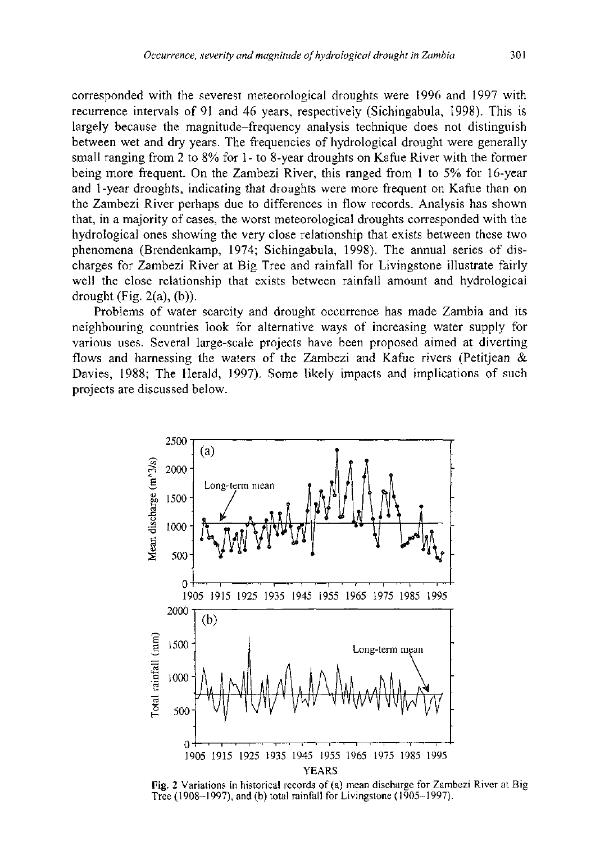corresponded with the severest meteorological droughts were 1996 and 1997 with recurrence intervals of 91 and 46 years, respectively (Sichingabula, 1998). This is largely because the magnitude-frequency analysis technique does not distinguish between wet and dry years. The frequencies of hydroiogical drought were generally small ranging from 2 to 8% for 1 - to 8-year droughts on Kafue River with the former being more frequent. On the Zambezi River, this ranged from 1 to 5% for 16-year and 1 -year droughts, indicating that droughts were more frequent on Kafue than on the Zambezi River perhaps due to differences in flow records. Analysis has shown that, in a majority of cases, the worst meteorological droughts corresponded with the hydroiogical ones showing the very close relationship that exists between these two phenomena (Brendenkamp, 1974; Sichingabula, 1998). The annual series of discharges for Zambezi River at Big Tree and rainfall for Livingstone illustrate fairly well the close relationship that exists between rainfall amount and hydroiogical drought (Fig.  $2(a)$ ,  $(b)$ ).

Problems of water scarcity and drought occurrence has made Zambia and its neighbouring countries look for alternative ways of increasing water supply for various uses. Several large-scale projects have been proposed aimed at diverting flows and harnessing the waters of the Zambezi and Kafue rivers (Petitjean & Davies, 1988; The Herald, 1997). Some likely impacts and implications of such projects are discussed below.



Fig. 2 Variations in historical records of (a) mean discharge for Zambezi River at Big Tree (1908-1997), and (b) total rainfall for Livingstone (1905-1997).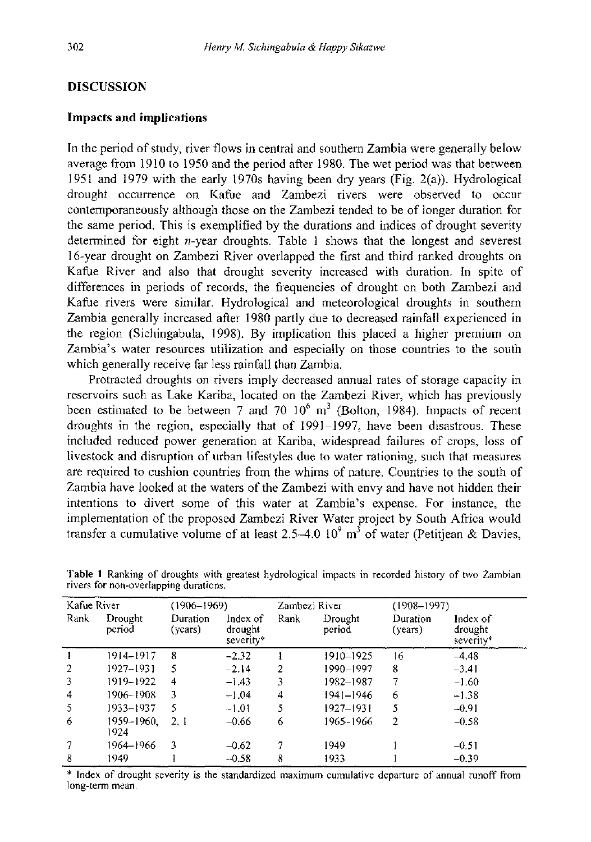# DISCUSSION

#### Impacts and implications

In the period of study, river flows in central and southern Zambia were generally below average from 1910 to 1950 and the period after 1980. The wet period was that between 1951 and 1979 with the early 1970s having been dry years (Fig. 2(a)). Hydrological drought occurrence on Kafue and Zambezi rivers were observed to occur contemporaneously although those on the Zambezi tended to be of longer duration for the same period. This is exemplified by the durations and indices of drought severity determined for eight  $n$ -year droughts. Table 1 shows that the longest and severest 16-year drought on Zambezi River overlapped the first and third ranked droughts on Kafue River and also that drought severity increased with duration. In spite of differences in periods of records, the frequencies of drought on both Zambezi and Kafue rivers were similar. Hydrological and meteorological droughts in southern Zambia generally increased after 1980 partly due to decreased rainfall experienced in the region (Sichingabula, 1998). By implication this placed a higher premium on Zambia's water resources utilization and especially on those countries to the south which generally receive far less rainfall than Zambia.

Protracted droughts on rivers imply decreased annual rates of storage capacity in reservoirs such as Lake Kariba, located on the Zambezi River, which has previously been estimated to be between 7 and 70  $10^{\circ}$  m<sup>3</sup> (Bolton, 1984). Impacts of recent droughts in the region, especially that of 1991-1997, have been disastrous. These included reduced power generation at Kariba, widespread failures of crops, loss of livestock and disruption of urban lifestyles due to water rationing, such that measures are required to cushion countries from the whims of nature. Countries to the south of Zambia have looked at the waters of the Zambezi with envy and have not hidden their intentions to divert some of this water at Zambia's expense. For instance, the implementation of the proposed Zambezi River Water project by South Africa would transfer a cumulative volume of at least 2.5–4.0  $10^9$  m<sup>3</sup> of water (Petitiean & Davies,

| Kafue River    |                    | $(1906 - 1969)$     |                                    | Zambezi River |                   | $(1908 - 1997)$     |                                  |
|----------------|--------------------|---------------------|------------------------------------|---------------|-------------------|---------------------|----------------------------------|
| Rank           | Drought<br>period  | Duration<br>(years) | Index of<br>drought<br>$severity*$ | Rank          | Drought<br>period | Duration<br>(years) | Index of<br>drought<br>severity* |
|                | 1914–1917          | 8                   | $-2.32$                            |               | 1910-1925         | 16                  | $-4.48$                          |
| $\overline{2}$ | 1927-1931          | 5                   | $-2.14$                            | 2             | 1990-1997         | 8                   | $-3.41$                          |
| 3              | 1919-1922          | 4                   | $-1.43$                            | 3             | 1982-1987         |                     | $-1.60$                          |
| 4              | 1906-1908          | 3                   | $-1.04$                            | 4             | $1941 - 1946$     | 6                   | $-1.38$                          |
| 5              | 1933-1937          | 5                   | $-1.01$                            | 5             | 1927-1931         | 5                   | $-0.91$                          |
| 6              | 1959-1960,<br>1924 | 2.1                 | $-0.66$                            | 6             | 1965-1966         | 2                   | $-0.58$                          |
| 7              | 1964-1966          | 3                   | $-0.62$                            | 7             | 1949              |                     | $-0.51$                          |
| 8              | 1949               |                     | $-0.58$                            | 8             | 1933              |                     | $-0.39$                          |

Table 1 Ranking of droughts with greatest hydrological impacts in recorded history of two Zambian rivers for non-overlapping durations.

\* Index of drought severity is the standardized maximum cumulative departure of annual runoff from long-term mean.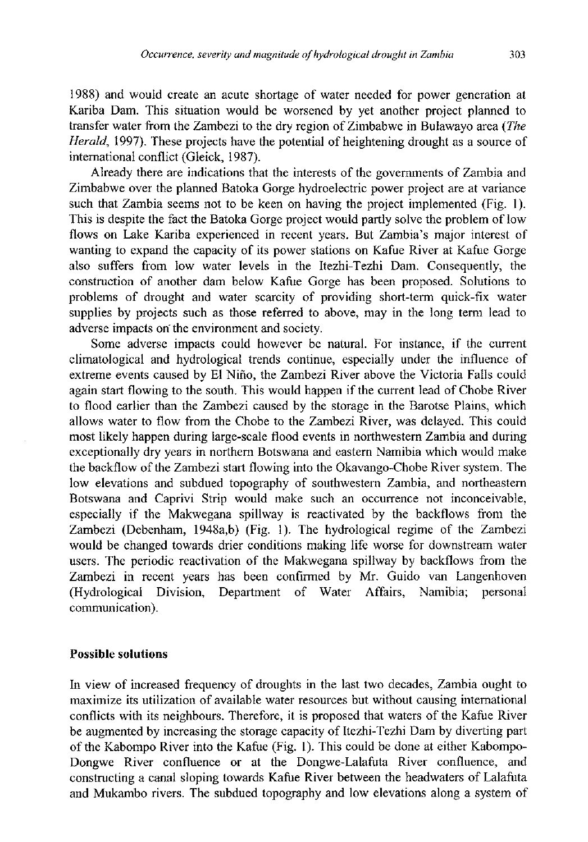1988) and would create an acute shortage of water needed for power generation at Kariba Dam. This situation would be worsened by yet another project planned to transfer water from the Zambezi to the dry region of Zimbabwe in Bulawayo area *(The Herald,* 1997). These projects have the potential of heightening drought as a source of international conflict (Gleick, 1987).

Already there are indications that the interests of the governments of Zambia and Zimbabwe over the planned Batoka Gorge hydroelectric power project are at variance such that Zambia seems not to be keen on having the project implemented (Fig. 1). This is despite the fact the Batoka Gorge project would partly solve the problem of low flows on Lake Kariba experienced in recent years. But Zambia's major interest of wanting to expand the capacity of its power stations on Kafue River at Kafue Gorge also suffers from low water levels in the Itezhi-Tezhi Dam. Consequently, the construction of another dam below Kafue Gorge has been proposed. Solutions to problems of drought and water scarcity of providing short-term quick-fix water supplies by projects such as those referred to above, may in the long term lead to adverse impacts on the environment and society.

Some adverse impacts could however be natural. For instance, if the current climatological and hydroiogical trends continue, especially under the influence of extreme events caused by El Nino, the Zambezi River above the Victoria Falls could again start flowing to the south. This would happen if the current lead of Chobe River to flood earlier than the Zambezi caused by the storage in the Barotse Plains, which allows water to flow from the Chobe to the Zambezi River, was delayed. This could most likely happen during large-scale flood events in northwestern Zambia and during exceptionally dry years in northern Botswana and eastern Namibia which would make the backflow of the Zambezi start flowing into the Okavango-Chobe River system. The low elevations and subdued topography of southwestern Zambia, and northeastern Botswana and Caprivi Strip would make such an occurrence not inconceivable, especially if the Makwegana spillway is reactivated by the backflows from the Zambezi (Debenham, 1948a,b) (Fig. 1). The hydroiogical regime of the Zambezi would be changed towards drier conditions making life worse for downstream water users. The periodic reactivation of the Makwegana spillway by backflows from the Zambezi in recent years has been confirmed by Mr. Guido van Langenhoven (Hydroiogical Division, Department of Water Affairs, Namibia; personal communication).

## Possible solutions

In view of increased frequency of droughts in the last two decades, Zambia ought to maximize its utilization of available water resources but without causing international conflicts with its neighbours. Therefore, it is proposed that waters of the Kafue River be augmented by increasing the storage capacity of Itezhi-Tezhi Dam by diverting part of the Kabompo River into the Kafue (Fig. 1). This could be done at either Kabompo-Dongwe River confluence or at the Dongwe-Lalafuta River confluence, and constructing a canal sloping towards Kafue River between the headwaters of Lalafuta and Mukambo rivers. The subdued topography and low elevations along a system of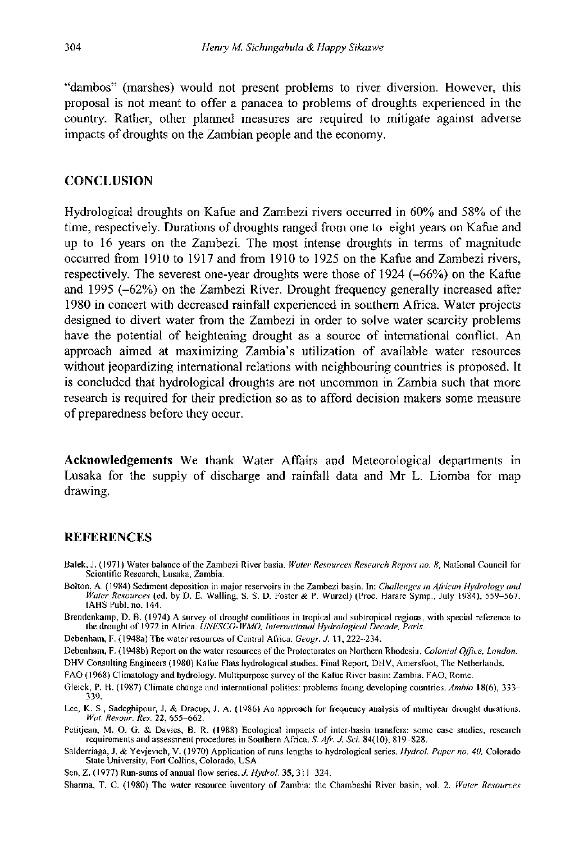"dambos" (marshes) would not present problems to river diversion. However, this proposal is not meant to offer a panacea to problems of droughts experienced in the country. Rather, other planned measures are required to mitigate against adverse impacts of droughts on the Zambian people and the economy.

## **CONCLUSION**

Hydrological droughts on Kafue and Zambezi rivers occurred in 60% and 58% of the time, respectively. Durations of droughts ranged from one to eight years on Kafue and up to 16 years on the Zambezi. The most intense droughts in terms of magnitude occurred from 1910 to 1917 and from 1910 to 1925 on the Kafue and Zambezi rivers, respectively. The severest one-year droughts were those of  $1924$  ( $-66\%$ ) on the Kafue and 1995 (-62%) on the Zambezi River. Drought frequency generally increased after 1980 in concert with decreased rainfall experienced in southern Africa. Water projects designed to divert water from the Zambezi in order to solve water scarcity problems have the potential of heightening drought as a source of international conflict. An approach aimed at maximizing Zambia's utilization of available water resources without jeopardizing international relations with neighbouring countries is proposed. It is concluded that hydrological droughts are not uncommon in Zambia such that more research is required for their prediction so as to afford decision makers some measure of preparedness before they occur.

Acknowledgements We thank Water Affairs and Meteorological departments in Lusaka for the supply of discharge and rainfall data and Mr L. Liomba for map drawing.

#### REFERENCES

- Balek, J. ( 1971 ) Water balance of the Zambezi River basin. *Water Resources Research Report no. 8,* National Council for Scientific Research, Lusaka, Zambia.
- Bolton, A. (1984) Sediment deposition in major reservoirs in the Zambezi basin. In: *Challenges in African Hydrology and Water Resources* (ed. by D. E. Walling, S. S. D. Foster & P. Wurzel) (Proc. Harare Symp., July 1984), 559-567.

Brendenkamp, D. B. (1974) A survey of drought conditions in tropical and subtropical regions, with special reference to the drought of 1972 in Africa. UNESCO-WMO, International Hydrological Decade, Paris.

Debenham, F. (1948a) The water resources of Central Africa. *Geogr. J.* 11, 222-234.

- Debenham, F. (1948b) Report on the water resources of the Protectorates on Northern Rhodesia. Colonial Office. London.
- DHV Consulting Engineers (1980) Kafue Flats hydrological studies. Final Report, DHV, Amerstoot, The Netherlands.

FAO (1968) Climatology and hydrology. Multipurpose survey of the Kafue River basin: Zambia. FAO, Rome.

- Gleick, P. H. (1987) Climate change and international politics: problems facing developing countries. Ambia 18(6), 333-339.
- 339.<br>Lee, K. S., Sadeghipour, J. & Dracup, J. A. (1986) An approach for frequency analysis of multiyear drought durations.<br>Wat. Resour. Res. 22, 655–662. *Wat. Resour. Res.* 22, 655-662.<br>Petitjean, M. O. G. & Davies, B. R. (1988) Ecological impacts of inter-basin transfers: some case studies, research
- requirements and assessment procedures in Southern Africa. S. Afr. J. Sci. 84(10), 819-828.
- requirements and assessment procedures in Southern Africa. S. Afr. J. Sci. 84(10), 819–828.<br>Salderriaga, J. & Yevjevich, V. (1970) Application of runs lengths to hydrological series. Hydrol. Paper no. 40, Colorado State University, Fort Collins, Colorado, USA.

Sen, Z. ( 1977) Run-sums of annual flow series. *J. Hydrol.* 35, 311 -324.

Sharma, T. C. (1980) The water resource inventory of Zambia: the Chambeshi River basin, vol. 2. *Water Resources*